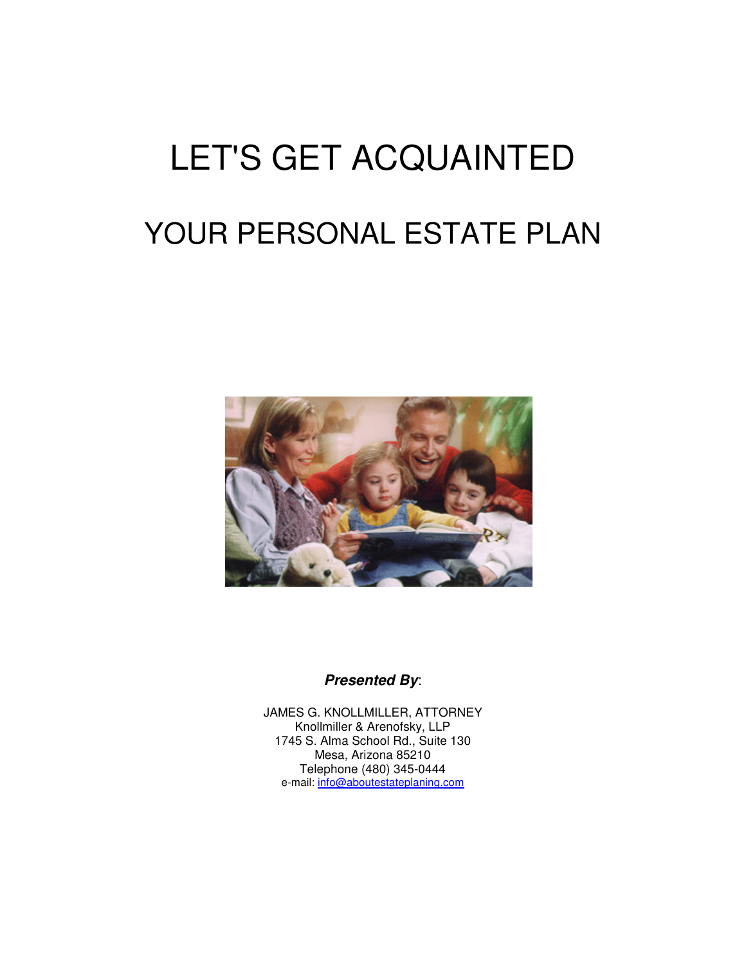# LET'S GET ACQUAINTED YOUR PERSONAL ESTATE PLAN



#### **Presented By**:

JAMES G. KNOLLMILLER, ATTORNEY Knollmiller & Arenofsky, LLP 1745 S. Alma School Rd., Suite 130 Mesa, Arizona 85210 Telephone (480) 345-0444 e-mail: info@aboutestateplaning.com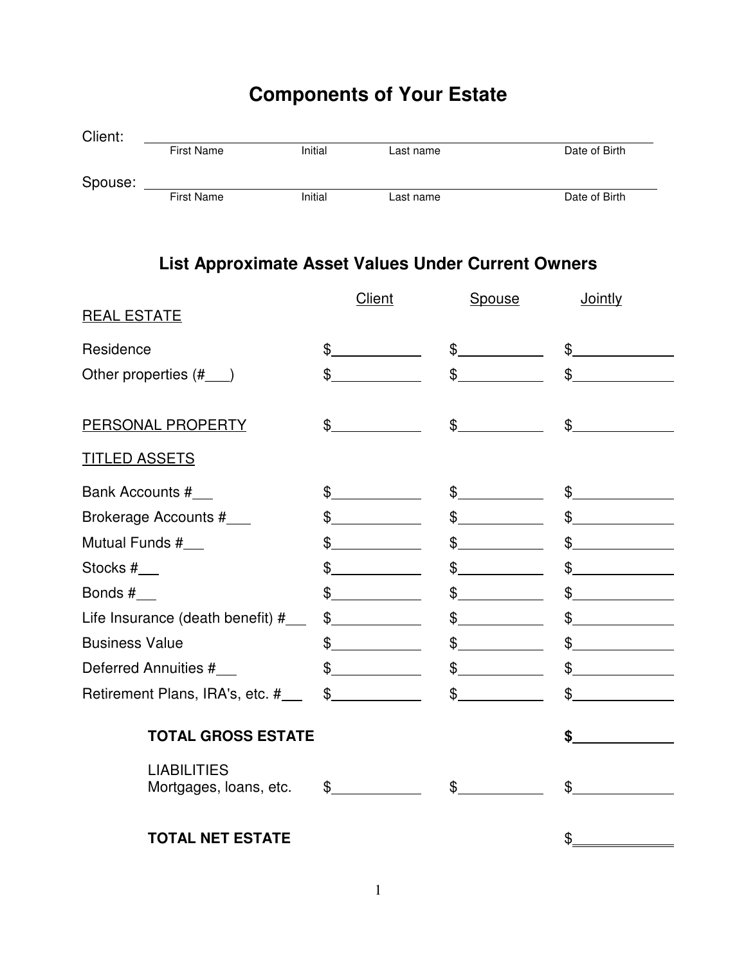## **Components of Your Estate**

| Client: |                   |         |           |               |
|---------|-------------------|---------|-----------|---------------|
|         | <b>First Name</b> | Initial | Last name | Date of Birth |
|         |                   |         |           |               |
| Spouse: |                   |         |           |               |
|         | <b>First Name</b> | Initial | Last name | Date of Birth |

### **List Approximate Asset Values Under Current Owners**

|                                              | <b>Client</b> | <b>Spouse</b> | <b>Jointly</b> |
|----------------------------------------------|---------------|---------------|----------------|
| <u>REAL ESTATE</u>                           |               |               |                |
| Residence                                    | \$            | $\mathcal{S}$ | $\mathbb{S}$   |
| Other properties $(\#$ $)$                   | $\mathcal{S}$ | $\mathcal{S}$ | $\mathcal{S}$  |
|                                              |               |               |                |
| PERSONAL PROPERTY                            | $\frac{1}{2}$ | $\frac{1}{2}$ | $\frac{1}{2}$  |
| <b>TITLED ASSETS</b>                         |               |               |                |
| Bank Accounts #                              | $\frac{1}{2}$ | $\frac{1}{2}$ | $\frac{1}{2}$  |
| Brokerage Accounts #                         | \$            | $\mathcal{S}$ | $\mathbb{S}$   |
| Mutual Funds #___                            | $\mathbb{S}$  | $\mathcal{S}$ | $\mathcal{S}$  |
| Stocks #                                     | \$            | \$            | $\mathcal{S}$  |
| Bonds $#$ <sub>___</sub>                     | \$            | $\frac{1}{2}$ | $\mathbb{S}$   |
| Life Insurance (death benefit) #___          | $\frac{1}{2}$ | $\frac{1}{2}$ | $\mathcal{S}$  |
| <b>Business Value</b>                        | $\frac{1}{2}$ | $\frac{1}{2}$ | $\mathbb{S}^-$ |
| Deferred Annuities #___                      | $\frac{1}{2}$ | $\frac{1}{2}$ | $\mathcal{S}$  |
|                                              |               | $\frac{1}{2}$ | $\frac{1}{2}$  |
| <b>TOTAL GROSS ESTATE</b>                    |               |               | \$             |
| <b>LIABILITIES</b><br>Mortgages, loans, etc. | $\frac{1}{2}$ | $\frac{1}{2}$ | $\mathbb{S}^-$ |
| <b>TOTAL NET ESTATE</b>                      |               |               |                |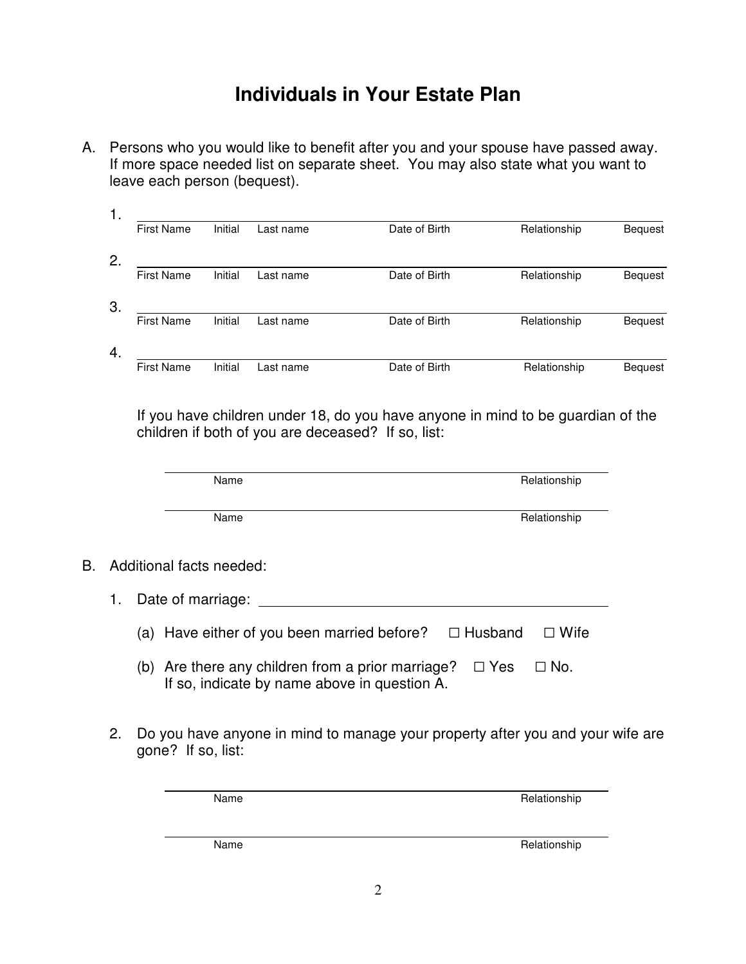## **Individuals in Your Estate Plan**

A. Persons who you would like to benefit after you and your spouse have passed away. If more space needed list on separate sheet. You may also state what you want to leave each person (bequest).

| 1. |                   |         |           |               |              |                |
|----|-------------------|---------|-----------|---------------|--------------|----------------|
|    | <b>First Name</b> | Initial | Last name | Date of Birth | Relationship | <b>Bequest</b> |
| 2. |                   |         |           |               |              |                |
|    | <b>First Name</b> | Initial | Last name | Date of Birth | Relationship | <b>Bequest</b> |
| 3. |                   |         |           |               |              |                |
|    | <b>First Name</b> | Initial | Last name | Date of Birth | Relationship | <b>Bequest</b> |
| 4. |                   |         |           |               |              |                |
|    | <b>First Name</b> | Initial | Last name | Date of Birth | Relationship | <b>Bequest</b> |

If you have children under 18, do you have anyone in mind to be guardian of the children if both of you are deceased? If so, list:

|    |                          | Name                                          | Relationship           |  |
|----|--------------------------|-----------------------------------------------|------------------------|--|
|    |                          |                                               |                        |  |
|    |                          | Name                                          | Relationship           |  |
|    |                          |                                               |                        |  |
| B. | Additional facts needed: |                                               |                        |  |
|    | 1.                       | Date of marriage:                             |                        |  |
|    |                          | Have either of you been married before?<br>a) | $\Box$ Husband<br>Wife |  |

- (b) Are there any children from a prior marriage?  $\Box$  Yes  $\Box$  No. If so, indicate by name above in question A.
- 2. Do you have anyone in mind to manage your property after you and your wife are gone? If so, list:

| Name | Relationship |
|------|--------------|
|      |              |
|      |              |
| Name | Relationship |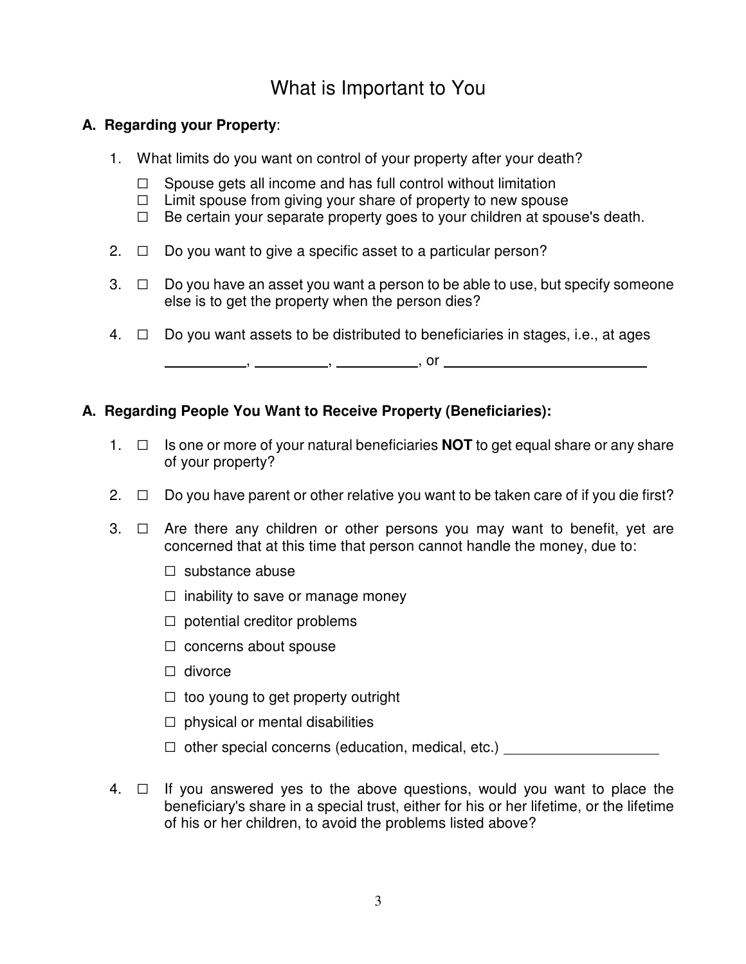## What is Important to You

#### **A. Regarding your Property**:

- 1. What limits do you want on control of your property after your death?
	- $\Box$  Spouse gets all income and has full control without limitation
	- $\Box$  Limit spouse from giving your share of property to new spouse
	- $\Box$  Be certain your separate property goes to your children at spouse's death.
- 2.  $\Box$  Do you want to give a specific asset to a particular person?
- $3. \Box$  Do you have an asset you want a person to be able to use, but specify someone else is to get the property when the person dies?
- $4. \Box$  Do you want assets to be distributed to beneficiaries in stages, i.e., at ages

, , , or

#### **A. Regarding People You Want to Receive Property (Beneficiaries):**

- 1.  $\Box$  Is one or more of your natural beneficiaries **NOT** to get equal share or any share of your property?
- 2.  $\Box$  Do you have parent or other relative you want to be taken care of if you die first?
- $3. \Box$  Are there any children or other persons you may want to benefit, yet are concerned that at this time that person cannot handle the money, due to:
	- $\Box$  substance abuse
	- $\Box$  inability to save or manage money
	- $\Box$  potential creditor problems
	- $\Box$  concerns about spouse
	- $\Box$  divorce
	- $\Box$  too young to get property outright
	- $\Box$  physical or mental disabilities
	- □ other special concerns (education, medical, etc.) \_\_\_\_\_\_\_\_\_\_\_\_\_\_\_\_\_\_\_\_\_\_\_\_\_\_\_
- $4. \Box$  If you answered yes to the above questions, would you want to place the beneficiary's share in a special trust, either for his or her lifetime, or the lifetime of his or her children, to avoid the problems listed above?